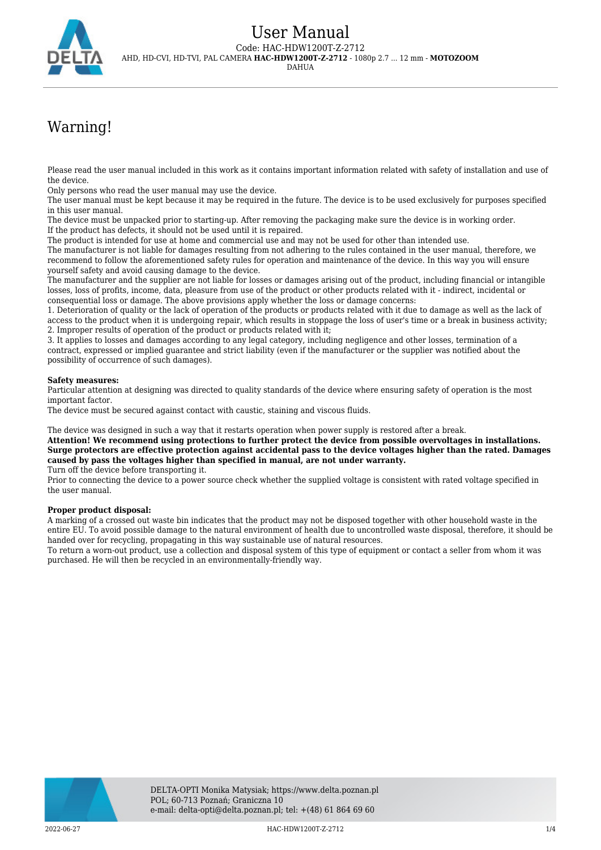

# Warning!

Please read the user manual included in this work as it contains important information related with safety of installation and use of the device.

Only persons who read the user manual may use the device.

The user manual must be kept because it may be required in the future. The device is to be used exclusively for purposes specified in this user manual.

The device must be unpacked prior to starting-up. After removing the packaging make sure the device is in working order. If the product has defects, it should not be used until it is repaired.

The product is intended for use at home and commercial use and may not be used for other than intended use.

The manufacturer is not liable for damages resulting from not adhering to the rules contained in the user manual, therefore, we recommend to follow the aforementioned safety rules for operation and maintenance of the device. In this way you will ensure yourself safety and avoid causing damage to the device.

The manufacturer and the supplier are not liable for losses or damages arising out of the product, including financial or intangible losses, loss of profits, income, data, pleasure from use of the product or other products related with it - indirect, incidental or consequential loss or damage. The above provisions apply whether the loss or damage concerns:

1. Deterioration of quality or the lack of operation of the products or products related with it due to damage as well as the lack of access to the product when it is undergoing repair, which results in stoppage the loss of user's time or a break in business activity; 2. Improper results of operation of the product or products related with it;

3. It applies to losses and damages according to any legal category, including negligence and other losses, termination of a contract, expressed or implied guarantee and strict liability (even if the manufacturer or the supplier was notified about the possibility of occurrence of such damages).

### **Safety measures:**

Particular attention at designing was directed to quality standards of the device where ensuring safety of operation is the most important factor.

The device must be secured against contact with caustic, staining and viscous fluids.

The device was designed in such a way that it restarts operation when power supply is restored after a break.

**Attention! We recommend using protections to further protect the device from possible overvoltages in installations. Surge protectors are effective protection against accidental pass to the device voltages higher than the rated. Damages caused by pass the voltages higher than specified in manual, are not under warranty.**

Turn off the device before transporting it.

Prior to connecting the device to a power source check whether the supplied voltage is consistent with rated voltage specified in the user manual.

#### **Proper product disposal:**

A marking of a crossed out waste bin indicates that the product may not be disposed together with other household waste in the entire EU. To avoid possible damage to the natural environment of health due to uncontrolled waste disposal, therefore, it should be handed over for recycling, propagating in this way sustainable use of natural resources.

To return a worn-out product, use a collection and disposal system of this type of equipment or contact a seller from whom it was purchased. He will then be recycled in an environmentally-friendly way.

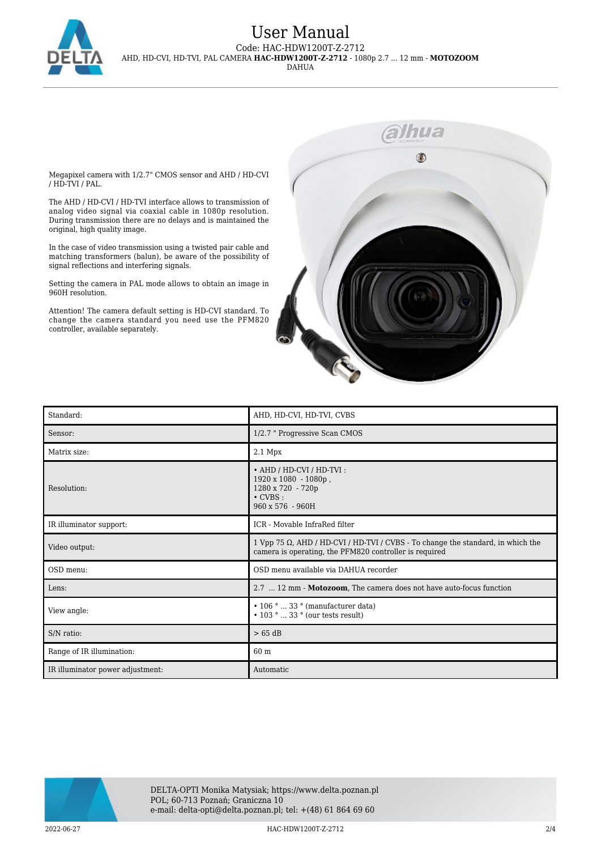

## User Manual Code: HAC-HDW1200T-Z-2712 AHD, HD-CVI, HD-TVI, PAL CAMERA **HAC-HDW1200T-Z-2712** - 1080p 2.7 ... 12 mm - **MOTOZOOM** DAHUA

Megapixel camera with 1/2.7" CMOS sensor and AHD / HD-CVI / HD-TVI / PAL.

The AHD / HD-CVI / HD-TVI interface allows to transmission of analog video signal via coaxial cable in 1080p resolution. During transmission there are no delays and is maintained the original, high quality image.

In the case of video transmission using a twisted pair cable and matching transformers (balun), be aware of the possibility of signal reflections and interfering signals.

Setting the camera in PAL mode allows to obtain an image in 960H resolution.

Attention! The camera default setting is HD-CVI standard. To change the camera standard you need use the PFM820 controller, available separately.



| Standard:                        | AHD, HD-CVI, HD-TVI, CVBS                                                                                                                 |
|----------------------------------|-------------------------------------------------------------------------------------------------------------------------------------------|
| Sensor:                          | 1/2.7 " Progressive Scan CMOS                                                                                                             |
| Matrix size:                     | $2.1$ Mpx                                                                                                                                 |
| Resolution:                      | • AHD / HD-CVI / HD-TVI :<br>1920 x 1080 - 1080p,<br>1280 x 720 - 720p<br>$\cdot$ CVBS :<br>960 x 576 - 960H                              |
| IR illuminator support:          | ICR - Movable InfraRed filter                                                                                                             |
| Video output:                    | 1 Vpp 75 Ω, AHD / HD-CVI / HD-TVI / CVBS - To change the standard, in which the<br>camera is operating, the PFM820 controller is required |
| OSD menu:                        | OSD menu available via DAHUA recorder                                                                                                     |
| Lens:                            | 2.7  12 mm - Motozoom, The camera does not have auto-focus function                                                                       |
| View angle:                      | $\cdot$ 106 °  33 ° (manufacturer data)<br>$\cdot$ 103 °  33 ° (our tests result)                                                         |
| S/N ratio:                       | $> 65$ dB                                                                                                                                 |
| Range of IR illumination:        | 60 m                                                                                                                                      |
| IR illuminator power adjustment: | Automatic                                                                                                                                 |



2022-06-27 HAC-HDW1200T-Z-2712 2/4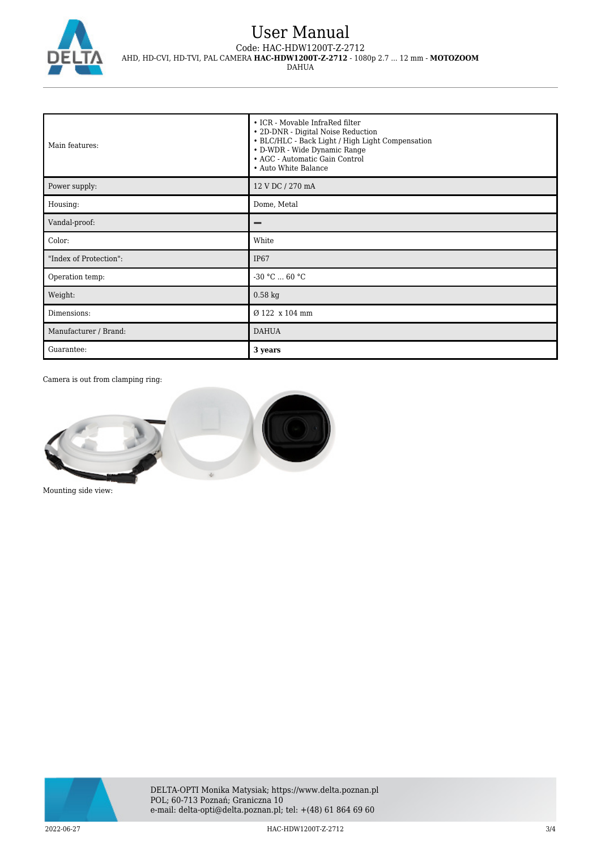

## User Manual Code: HAC-HDW1200T-Z-2712 AHD, HD-CVI, HD-TVI, PAL CAMERA **HAC-HDW1200T-Z-2712** - 1080p 2.7 ... 12 mm - **MOTOZOOM** DAHUA

| Main features:         | • ICR - Movable InfraRed filter<br>• 2D-DNR - Digital Noise Reduction<br>• BLC/HLC - Back Light / High Light Compensation<br>• D-WDR - Wide Dynamic Range<br>• AGC - Automatic Gain Control<br>• Auto White Balance |
|------------------------|---------------------------------------------------------------------------------------------------------------------------------------------------------------------------------------------------------------------|
| Power supply:          | 12 V DC / 270 mA                                                                                                                                                                                                    |
| Housing:               | Dome, Metal                                                                                                                                                                                                         |
| Vandal-proof:          |                                                                                                                                                                                                                     |
| Color:                 | White                                                                                                                                                                                                               |
| "Index of Protection": | <b>IP67</b>                                                                                                                                                                                                         |
| Operation temp:        | $-30 °C  60 °C$                                                                                                                                                                                                     |
| Weight:                | $0.58$ kg                                                                                                                                                                                                           |
| Dimensions:            | Ø 122 x 104 mm                                                                                                                                                                                                      |
| Manufacturer / Brand:  | <b>DAHUA</b>                                                                                                                                                                                                        |
| Guarantee:             | 3 years                                                                                                                                                                                                             |

Camera is out from clamping ring:



Mounting side view: